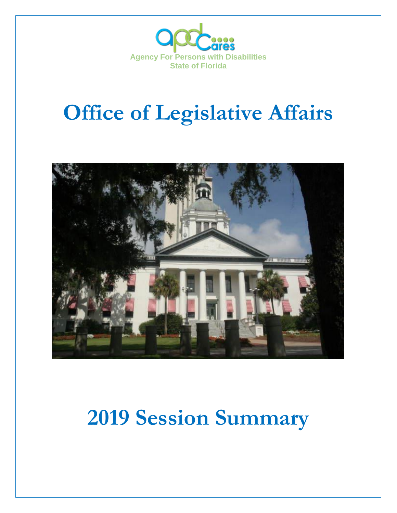

# **Office of Legislative Affairs**



## **2019 Session Summary**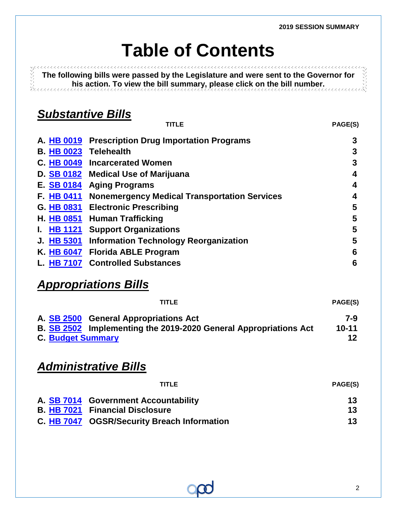## **Table of Contents**

**The following bills were passed by the Legislature and were sent to the Governor for his action. To view the bill summary, please click on the bill number.**

## *Substantive Bills*

| <b>TITLE</b>                                        | <b>PAGE(S)</b> |
|-----------------------------------------------------|----------------|
| <b>Prescription Drug Importation Programs</b>       | 3              |
| <b>Telehealth</b>                                   | 3              |
| <b>Incarcerated Women</b>                           | 3              |
| <b>Medical Use of Marijuana</b>                     | 4              |
| <b>Aging Programs</b>                               | 4              |
| <b>Nonemergency Medical Transportation Services</b> | 4              |
| <b>Electronic Prescribing</b>                       | 5              |
| <b>Human Trafficking</b>                            | 5              |
| <b>Support Organizations</b>                        | 5              |
| <b>Information Technology Reorganization</b>        | 5              |
| <b>Florida ABLE Program</b>                         | 6              |
| <b>Controlled Substances</b>                        | 6              |
|                                                     |                |

## *Appropriations Bills*

|                          | <b>TITLE</b>                                                            | PAGE(S)   |
|--------------------------|-------------------------------------------------------------------------|-----------|
|                          | A. SB 2500 General Appropriations Act                                   | 7-9       |
|                          | <b>B. SB 2502</b> Implementing the 2019-2020 General Appropriations Act | $10 - 11$ |
| <b>C. Budget Summary</b> |                                                                         | 12        |

## *Administrative Bills*

| <b>TITLE</b>                                | <b>PAGE(S)</b>  |
|---------------------------------------------|-----------------|
| A. SB 7014 Government Accountability        | 13              |
| <b>B. HB 7021 Financial Disclosure</b>      | 13              |
| C. HB 7047 OGSR/Security Breach Information | 13 <sup>1</sup> |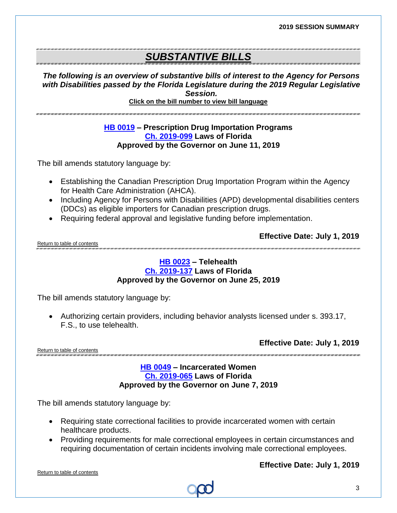**2019 SESSION SUMMARY**

### *SUBSTANTIVE BILLS*

*The following is an overview of substantive bills of interest to the Agency for Persons with Disabilities passed by the Florida Legislature during the 2019 Regular Legislative Session.*

**Click on the bill number to view bill language** 

#### **[HB 0019](https://myfloridahouse.gov/Sections/Documents/loaddoc.aspx?FileName=_h0019er.docx&DocumentType=Bill&BillNumber=0019&Session=2019) – Prescription Drug Importation Programs [Ch. 2019-099](http://laws.flrules.org/files/Ch_2019-099.pdf) Laws of Florida Approved by the Governor on June 11, 2019**

The bill amends statutory language by:

- Establishing the Canadian Prescription Drug Importation Program within the Agency for Health Care Administration (AHCA).
- Including Agency for Persons with Disabilities (APD) developmental disabilities centers (DDCs) as eligible importers for Canadian prescription drugs.
- Requiring federal approval and legislative funding before implementation.

**Effective Date: July 1, 2019**

<span id="page-2-0"></span>Return to table of contents .<br>WA TAATTAA TAATTAA TAATTAA TAATTAA TAATTAA TAATTAA TAATTAA TAATTAA TAATTAA TAATTAA TAATTAA TAATTAA TAATTAA TAA

#### **[HB 0023](https://myfloridahouse.gov/Sections/Documents/loaddoc.aspx?FileName=_h0023er.docx&DocumentType=Bill&BillNumber=0023&Session=2019) – Telehealth [Ch. 2019-137](http://laws.flrules.org/2019/137) Laws of Florida Approved by the Governor on June 25, 2019**

The bill amends statutory language by:

• Authorizing certain providers, including behavior analysts licensed under s. 393.17, F.S., to use telehealth.

<span id="page-2-1"></span>Return to table of contents

**Effective Date: July 1, 2019**

#### **[HB 0049](https://myfloridahouse.gov/Sections/Documents/loaddoc.aspx?FileName=_h0049er.docx&DocumentType=Bill&BillNumber=0049&Session=2019) – Incarcerated Women [Ch. 2019-065](http://laws.flrules.org/2019/65) Laws of Florida Approved by the Governor on June 7, 2019**

The bill amends statutory language by:

- Requiring state correctional facilities to provide incarcerated women with certain healthcare products.
- Providing requirements for male correctional employees in certain circumstances and requiring documentation of certain incidents involving male correctional employees.

<span id="page-2-2"></span>Return to table of contents

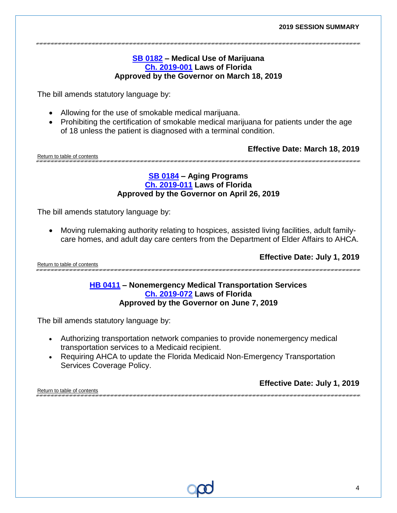#### **[SB 0182](https://myfloridahouse.gov/Sections/Documents/loaddoc.aspx?FileName=_s0182er.DOCX&DocumentType=Bill&BillNumber=0182&Session=2019) – Medical Use of Marijuana [Ch. 2019-001](http://laws.flrules.org/2019/1) Laws of Florida Approved by the Governor on March 18, 2019**

The bill amends statutory language by:

- Allowing for the use of smokable medical marijuana.
- Prohibiting the certification of smokable medical marijuana for patients under the age of 18 unless the patient is diagnosed with a terminal condition.

**Effective Date: March 18, 2019**

<span id="page-3-0"></span>Return to table of contents 

#### **[SB 0184](https://myfloridahouse.gov/Sections/Documents/loaddoc.aspx?FileName=_s0184er.DOCX&DocumentType=Bill&BillNumber=0184&Session=2019) – Aging Programs [Ch. 2019-011](http://laws.flrules.org/2019/11) Laws of Florida Approved by the Governor on April 26, 2019**

The bill amends statutory language by:

• Moving rulemaking authority relating to hospices, assisted living facilities, adult familycare homes, and adult day care centers from the Department of Elder Affairs to AHCA.

<span id="page-3-1"></span>Return to table of contents

**Effective Date: July 1, 2019**

#### **[HB 0411](https://myfloridahouse.gov/Sections/Documents/loaddoc.aspx?FileName=_h0411er.docx&DocumentType=Bill&BillNumber=0411&Session=2019) – Nonemergency Medical Transportation Services [Ch. 2019-072](http://laws.flrules.org/2019/72) Laws of Florida Approved by the Governor on June 7, 2019**

The bill amends statutory language by:

- Authorizing transportation network companies to provide nonemergency medical transportation services to a Medicaid recipient.
- Requiring AHCA to update the Florida Medicaid Non-Emergency Transportation Services Coverage Policy.

**Effective Date: July 1, 2019**

<span id="page-3-2"></span>Return to table of contents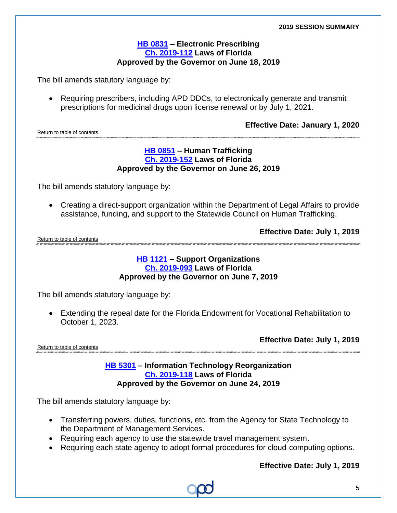#### **[HB 0831](https://myfloridahouse.gov/Sections/Documents/loaddoc.aspx?FileName=_h0831er.docx&DocumentType=Bill&BillNumber=0831&Session=2019) – Electronic Prescribing [Ch. 2019-112](http://laws.flrules.org/2019/112) Laws of Florida Approved by the Governor on June 18, 2019**

The bill amends statutory language by:

• Requiring prescribers, including APD DDCs, to electronically generate and transmit prescriptions for medicinal drugs upon license renewal or by July 1, 2021.

**Effective Date: January 1, 2020**

<span id="page-4-0"></span>Return to table of contents

#### **[HB 0851](https://myfloridahouse.gov/Sections/Documents/loaddoc.aspx?FileName=_h0851er.docx&DocumentType=Bill&BillNumber=0851&Session=2019) – Human Trafficking Ch. [2019-152](http://laws.flrules.org/2019/152) Laws of Florida Approved by the Governor on June 26, 2019**

The bill amends statutory language by:

• Creating a direct-support organization within the Department of Legal Affairs to provide assistance, funding, and support to the Statewide Council on Human Trafficking.

**Effective Date: July 1, 2019**

<span id="page-4-1"></span>Return to table of contents

#### **[HB 1121](https://myfloridahouse.gov/Sections/Documents/loaddoc.aspx?FileName=_h1121er.docx&DocumentType=Bill&BillNumber=1121&Session=2019) – Support Organizations [Ch. 2019-093](http://laws.flrules.org/2019/93) Laws of Florida Approved by the Governor on June 7, 2019**

The bill amends statutory language by:

• Extending the repeal date for the Florida Endowment for Vocational Rehabilitation to October 1, 2023.

**Effective Date: July 1, 2019**

<span id="page-4-2"></span>Return to table of contents

#### **[HB 5301](https://myfloridahouse.gov/Sections/Documents/loaddoc.aspx?FileName=_h5301er.docx&DocumentType=Bill&BillNumber=5301&Session=2019) – Information Technology Reorganization [Ch. 2019-118](http://laws.flrules.org/2019/118) Laws of Florida Approved by the Governor on June 24, 2019**

The bill amends statutory language by:

- Transferring powers, duties, functions, etc. from the Agency for State Technology to the Department of Management Services.
- Requiring each agency to use the statewide travel management system.
- <span id="page-4-3"></span>• Requiring each state agency to adopt formal procedures for cloud-computing options.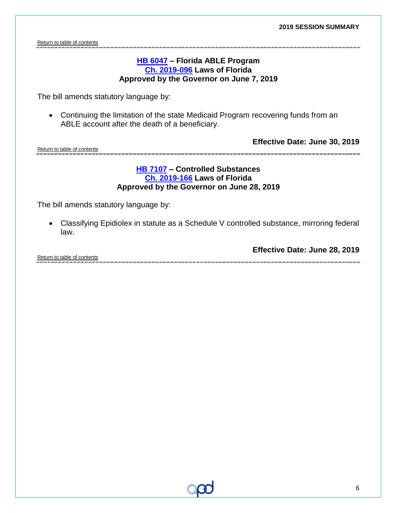Return to table of contents

#### **[HB 6047](https://myfloridahouse.gov/Sections/Documents/loaddoc.aspx?FileName=_h6047er.docx&DocumentType=Bill&BillNumber=6047&Session=2019) – Florida ABLE Program Ch. [2019-096](http://laws.flrules.org/2019/96) Laws of Florida Approved by the Governor on June 7, 2019**

The bill amends statutory language by:

• Continuing the limitation of the state Medicaid Program recovering funds from an ABLE account after the death of a beneficiary.

<span id="page-5-0"></span>Return to table of contents

**Effective Date: June 30, 2019**

#### **[HB 7107](https://myfloridahouse.gov/Sections/Documents/loaddoc.aspx?FileName=_h7107er.docx&DocumentType=Bill&BillNumber=7107&Session=2019) – Controlled Substances [Ch. 2019-166](http://laws.flrules.org/2019/166) Laws of Florida Approved by the Governor on June 28, 2019**

The bill amends statutory language by:

• Classifying Epidiolex in statute as a Schedule V controlled substance, mirroring federal law.

<span id="page-5-1"></span>

|                             | Effective Date: June 28, 2019 |
|-----------------------------|-------------------------------|
| Return to table of contents |                               |
|                             |                               |

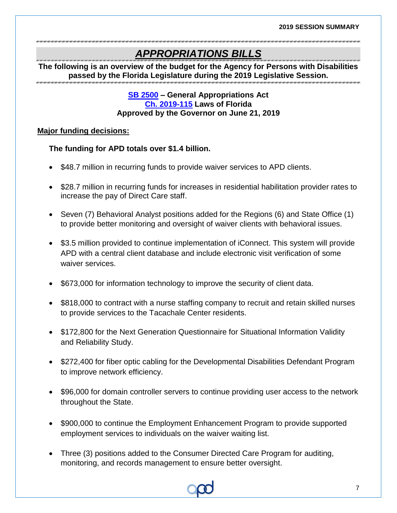## *APPROPRIATIONS BILLS*

<span id="page-6-0"></span>**The following is an overview of the budget for the Agency for Persons with Disabilities passed by the Florida Legislature during the 2019 Legislative Session.**

#### **[SB 2500](http://flsenate.gov/Session/Bill/2019/2500/BillText/er/PDF) – General Appropriations Act [Ch. 2019-115](http://laws.flrules.org/2019/115) Laws of Florida Approved by the Governor on June 21, 2019**

#### **Major funding decisions:**

#### **The funding for APD totals over \$1.4 billion.**

- \$48.7 million in recurring funds to provide waiver services to APD clients.
- \$28.7 million in recurring funds for increases in residential habilitation provider rates to increase the pay of Direct Care staff.
- Seven (7) Behavioral Analyst positions added for the Regions (6) and State Office (1) to provide better monitoring and oversight of waiver clients with behavioral issues.
- \$3.5 million provided to continue implementation of iConnect. This system will provide APD with a central client database and include electronic visit verification of some waiver services.
- \$673,000 for information technology to improve the security of client data.
- \$818,000 to contract with a nurse staffing company to recruit and retain skilled nurses to provide services to the Tacachale Center residents.
- \$172,800 for the Next Generation Questionnaire for Situational Information Validity and Reliability Study.
- \$272,400 for fiber optic cabling for the Developmental Disabilities Defendant Program to improve network efficiency.
- \$96,000 for domain controller servers to continue providing user access to the network throughout the State.
- \$900,000 to continue the Employment Enhancement Program to provide supported employment services to individuals on the waiver waiting list.
- Three (3) positions added to the Consumer Directed Care Program for auditing, monitoring, and records management to ensure better oversight.

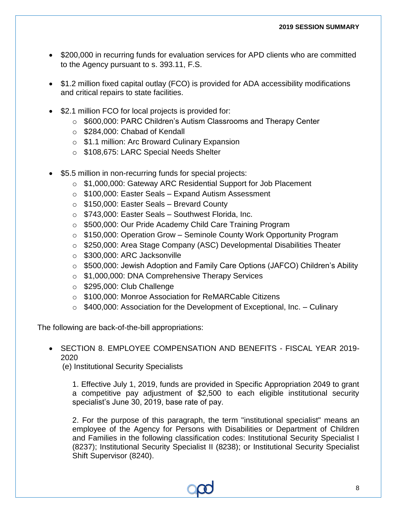- \$200,000 in recurring funds for evaluation services for APD clients who are committed to the Agency pursuant to s. 393.11, F.S.
- \$1.2 million fixed capital outlay (FCO) is provided for ADA accessibility modifications and critical repairs to state facilities.
- \$2.1 million FCO for local projects is provided for:
	- o \$600,000: PARC Children's Autism Classrooms and Therapy Center
	- o \$284,000: Chabad of Kendall
	- o \$1.1 million: Arc Broward Culinary Expansion
	- o \$108,675: LARC Special Needs Shelter
- \$5.5 million in non-recurring funds for special projects:
	- o \$1,000,000: Gateway ARC Residential Support for Job Placement
	- o \$100,000: Easter Seals Expand Autism Assessment
	- o \$150,000: Easter Seals Brevard County
	- o \$743,000: Easter Seals Southwest Florida, Inc.
	- o \$500,000: Our Pride Academy Child Care Training Program
	- o \$150,000: Operation Grow Seminole County Work Opportunity Program
	- o \$250,000: Area Stage Company (ASC) Developmental Disabilities Theater
	- o \$300,000: ARC Jacksonville
	- o \$500,000: Jewish Adoption and Family Care Options (JAFCO) Children's Ability
	- o \$1,000,000: DNA Comprehensive Therapy Services
	- o \$295,000: Club Challenge
	- o \$100,000: Monroe Association for ReMARCable Citizens
	- $\circ$  \$400,000: Association for the Development of Exceptional, Inc. Culinary

The following are back-of-the-bill appropriations:

#### • SECTION 8. EMPLOYEE COMPENSATION AND BENEFITS - FISCAL YEAR 2019- 2020

(e) Institutional Security Specialists

1. Effective July 1, 2019, funds are provided in Specific Appropriation 2049 to grant a competitive pay adjustment of \$2,500 to each eligible institutional security specialist's June 30, 2019, base rate of pay.

2. For the purpose of this paragraph, the term "institutional specialist" means an employee of the Agency for Persons with Disabilities or Department of Children and Families in the following classification codes: Institutional Security Specialist I (8237); Institutional Security Specialist II (8238); or Institutional Security Specialist Shift Supervisor (8240).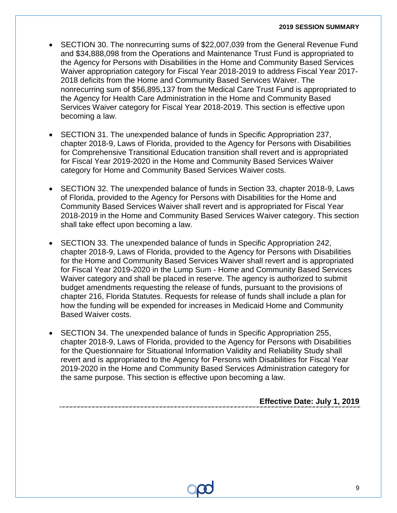#### **2019 SESSION SUMMARY**

- SECTION 30. The nonrecurring sums of \$22,007,039 from the General Revenue Fund and \$34,888,098 from the Operations and Maintenance Trust Fund is appropriated to the Agency for Persons with Disabilities in the Home and Community Based Services Waiver appropriation category for Fiscal Year 2018-2019 to address Fiscal Year 2017- 2018 deficits from the Home and Community Based Services Waiver. The nonrecurring sum of \$56,895,137 from the Medical Care Trust Fund is appropriated to the Agency for Health Care Administration in the Home and Community Based Services Waiver category for Fiscal Year 2018-2019. This section is effective upon becoming a law.
- SECTION 31. The unexpended balance of funds in Specific Appropriation 237, chapter 2018-9, Laws of Florida, provided to the Agency for Persons with Disabilities for Comprehensive Transitional Education transition shall revert and is appropriated for Fiscal Year 2019-2020 in the Home and Community Based Services Waiver category for Home and Community Based Services Waiver costs.
- SECTION 32. The unexpended balance of funds in Section 33, chapter 2018-9, Laws of Florida, provided to the Agency for Persons with Disabilities for the Home and Community Based Services Waiver shall revert and is appropriated for Fiscal Year 2018-2019 in the Home and Community Based Services Waiver category. This section shall take effect upon becoming a law.
- SECTION 33. The unexpended balance of funds in Specific Appropriation 242, chapter 2018-9, Laws of Florida, provided to the Agency for Persons with Disabilities for the Home and Community Based Services Waiver shall revert and is appropriated for Fiscal Year 2019-2020 in the Lump Sum - Home and Community Based Services Waiver category and shall be placed in reserve. The agency is authorized to submit budget amendments requesting the release of funds, pursuant to the provisions of chapter 216, Florida Statutes. Requests for release of funds shall include a plan for how the funding will be expended for increases in Medicaid Home and Community Based Waiver costs.
- SECTION 34. The unexpended balance of funds in Specific Appropriation 255, chapter 2018-9, Laws of Florida, provided to the Agency for Persons with Disabilities for the Questionnaire for Situational Information Validity and Reliability Study shall revert and is appropriated to the Agency for Persons with Disabilities for Fiscal Year 2019-2020 in the Home and Community Based Services Administration category for the same purpose. This section is effective upon becoming a law.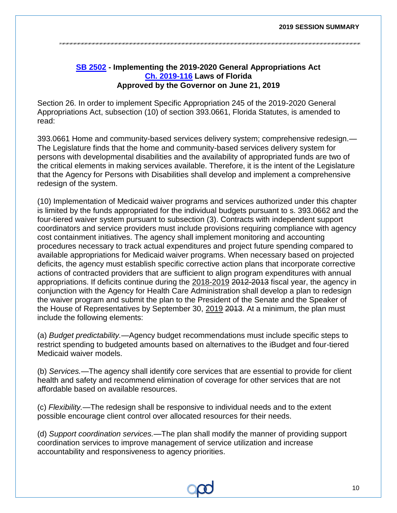#### **[SB 2502](http://flsenate.gov/Session/Bill/2019/2502/BillText/er/PDF) - Implementing the 2019-2020 General Appropriations Act [Ch. 2019-116](http://laws.flrules.org/2019/116) Laws of Florida Approved by the Governor on June 21, 2019**

<span id="page-9-0"></span>Section 26. In order to implement Specific Appropriation 245 of the 2019-2020 General Appropriations Act, subsection (10) of section 393.0661, Florida Statutes, is amended to read:

393.0661 Home and community-based services delivery system; comprehensive redesign.— The Legislature finds that the home and community-based services delivery system for persons with developmental disabilities and the availability of appropriated funds are two of the critical elements in making services available. Therefore, it is the intent of the Legislature that the Agency for Persons with Disabilities shall develop and implement a comprehensive redesign of the system.

(10) Implementation of Medicaid waiver programs and services authorized under this chapter is limited by the funds appropriated for the individual budgets pursuant to s. 393.0662 and the four-tiered waiver system pursuant to subsection (3). Contracts with independent support coordinators and service providers must include provisions requiring compliance with agency cost containment initiatives. The agency shall implement monitoring and accounting procedures necessary to track actual expenditures and project future spending compared to available appropriations for Medicaid waiver programs. When necessary based on projected deficits, the agency must establish specific corrective action plans that incorporate corrective actions of contracted providers that are sufficient to align program expenditures with annual appropriations. If deficits continue during the 2018-2019 2012-2013 fiscal year, the agency in conjunction with the Agency for Health Care Administration shall develop a plan to redesign the waiver program and submit the plan to the President of the Senate and the Speaker of the House of Representatives by September 30, 2019 2013. At a minimum, the plan must include the following elements:

(a) *Budget predictability.*—Agency budget recommendations must include specific steps to restrict spending to budgeted amounts based on alternatives to the iBudget and four-tiered Medicaid waiver models.

(b) *Services.*—The agency shall identify core services that are essential to provide for client health and safety and recommend elimination of coverage for other services that are not affordable based on available resources.

(c) *Flexibility.*—The redesign shall be responsive to individual needs and to the extent possible encourage client control over allocated resources for their needs.

(d) *Support coordination services.*—The plan shall modify the manner of providing support coordination services to improve management of service utilization and increase accountability and responsiveness to agency priorities.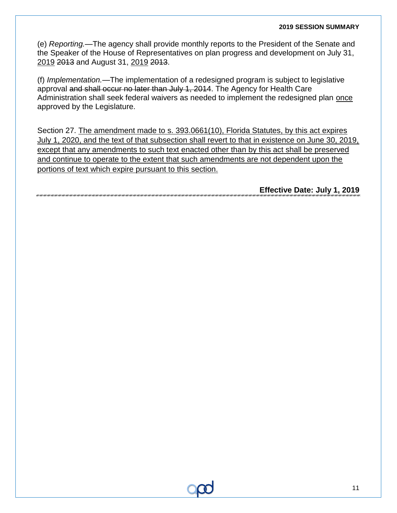#### **2019 SESSION SUMMARY**

(e) *Reporting.*—The agency shall provide monthly reports to the President of the Senate and the Speaker of the House of Representatives on plan progress and development on July 31, 2019 2013 and August 31, 2019 2013.

(f) *Implementation.*—The implementation of a redesigned program is subject to legislative approval and shall occur no later than July 1, 2014. The Agency for Health Care Administration shall seek federal waivers as needed to implement the redesigned plan once approved by the Legislature.

Section 27. The amendment made to s. 393.0661(10), Florida Statutes, by this act expires July 1, 2020, and the text of that subsection shall revert to that in existence on June 30, 2019, except that any amendments to such text enacted other than by this act shall be preserved and continue to operate to the extent that such amendments are not dependent upon the portions of text which expire pursuant to this section.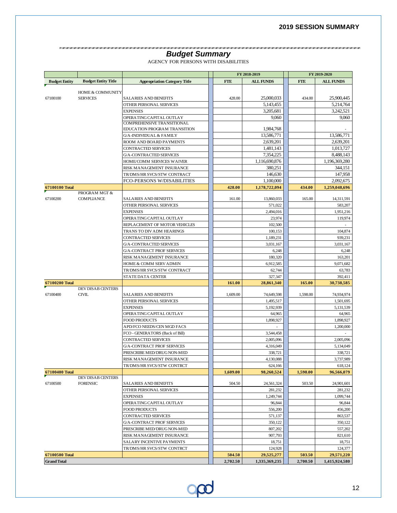na charcan an charcan charcan charcan charcan charcan charcan charc

#### **Budget Summary**

|  | AGENCY FOR PERSONS WITH DISABILITIES |  |  |
|--|--------------------------------------|--|--|
|  |                                      |  |  |

<span id="page-11-0"></span>

|                      |                             |                                                                | FY 2018-2019 |                         | FY 2019-2020 |                        |
|----------------------|-----------------------------|----------------------------------------------------------------|--------------|-------------------------|--------------|------------------------|
| <b>Budget Entity</b> | <b>Budget Entity Title</b>  | <b>Appropriation Category Title</b>                            | <b>FTE</b>   | <b>ALL FUNDS</b>        | <b>FTE</b>   | <b>ALL FUNDS</b>       |
|                      |                             |                                                                |              |                         |              |                        |
|                      | <b>HOME &amp; COMMUNITY</b> |                                                                |              |                         |              |                        |
| 67100100             | <b>SERVICES</b>             | <b>SALARIES AND BENEFITS</b>                                   | 428.00       | 25,000,033<br>5.143.455 | 434.00       | 25,900,445             |
|                      |                             | OTHER PERSONAL SERVICES<br><b>EXPENSES</b>                     |              | 3,205,681               |              | 5,214,764<br>3,242,521 |
|                      |                             | OPERATING CAPITAL OUTLAY                                       |              | 9,060                   |              | 9,060                  |
|                      |                             | COMPREHENSIVE TRANSITIONAL                                     |              |                         |              |                        |
|                      |                             | EDUCATION PROGRAM TRANSITION                                   |              | 1,984,768               |              |                        |
|                      |                             | <b>G/A-INDIVIDUAL &amp; FAMILY</b>                             |              | 13,586,771              |              | 13,586,771             |
|                      |                             | ROOM AND BOARD PAYMENTS                                        |              | 2,639,201               |              | 2,639,201              |
|                      |                             | CONTRACTED SERVICES                                            |              | 1,481,143               |              | 1,013,727              |
|                      |                             | <b>G/A-CONTRACTED SERVICES</b>                                 |              | 7,354,225               |              | 8,488,143              |
|                      |                             | HOME/COMM SERVICES WAIVER                                      |              | 1,116,690,876           |              | 1,196,369,280          |
|                      |                             | RISK MANAGEMENT INSURANCE                                      |              | 380,251                 |              | 344,151                |
|                      |                             | TR/DMS/HR SVCS/STW CONTRACT                                    |              | 146,630                 |              | 147,958                |
|                      |                             | FCO-PERSONS W/DISABILITIES                                     |              | 1,100,000               |              | 2,092,675              |
| 67100100 Total       |                             |                                                                | 428.00       | 1,178,722,094           | 434.00       | 1,259,048,696          |
|                      | PROGRAM MGT &               |                                                                |              |                         |              |                        |
| 67100200             | <b>COMPLIANCE</b>           | <b>SALARIES AND BENEFITS</b>                                   | 161.00       | 13,860,033<br>571.022   | 165.00       | 14,311,591             |
|                      |                             | OTHER PERSONAL SERVICES                                        |              |                         |              | 583,207                |
|                      |                             | <b>EXPENSES</b>                                                |              | 2,494,016               |              | 1,951,216              |
|                      |                             | OPERATING CAPITAL OUTLAY<br>REPLACEMENT OF MOTOR VEHICLES      |              | 23,974<br>102,500       |              | 119,974                |
|                      |                             | TRANS TO DIV ADM HEARINGS                                      |              | 100,153                 |              | 104,874                |
|                      |                             | CONTRACTED SERVICES                                            |              | 1,189,231               |              | 939,231                |
|                      |                             | <b>G/A-CONTRACTED SERVICES</b>                                 |              | 3.031.167               |              | 3.031.167              |
|                      |                             | <b>G/A-CONTRACT PROF SERVICES</b>                              |              | 6,248                   |              | 6,248                  |
|                      |                             | RISK MANAGEMENT INSURANCE                                      |              | 180,320                 |              | 163,201                |
|                      |                             | HOME & COMM SERV ADMIN                                         |              | 6,912,585               |              | 9,071,682              |
|                      |                             | TR/DMS/HR SVCS/STW CONTRACT                                    |              | 62,744                  |              | 63,783                 |
|                      |                             | STATE DATA CENTER                                              |              | 327,347                 |              | 392,411                |
| 67100200 Total       |                             |                                                                | 161.00       | 28,861,340              | 165.00       | 30,738,585             |
|                      | <b>DEV DISAB CENTERS</b>    |                                                                |              |                         |              |                        |
| 67100400             | <b>CIVIL</b>                | <b>SALARIES AND BENEFITS</b>                                   | 1,609.00     | 74,649,598              | 1,598.00     | 74,934,974             |
|                      |                             | OTHER PERSONAL SERVICES                                        |              | 1,495,517               |              | 1,501,695              |
|                      |                             | <b>EXPENSES</b>                                                |              | 5,192,939               |              | 5,131,539              |
|                      |                             | OPERATING CAPITAL OUTLAY                                       |              | 64,965                  |              | 64,965                 |
|                      |                             | <b>FOOD PRODUCTS</b>                                           |              | 1,898,927               |              | 1,898,927              |
|                      |                             | APD/FCO NEEDS/CEN MGD FACS                                     |              |                         |              | 1,200,000              |
|                      |                             | FCO - GENERATORS (Back of Bill)                                |              | 3,544,458               |              |                        |
|                      |                             | CONTRACTED SERVICES                                            |              | 2,005,096               |              | 2,005,096              |
|                      |                             | <b>G/A-CONTRACT PROF SERVICES</b>                              |              | 4,316,049               |              | 5,134,049              |
|                      |                             | PRESCRIBE MED/DRUG NON-MED                                     |              | 338,721                 |              | 338,721                |
|                      |                             | <b>RISK MANAGEMENT INSURANCE</b><br>TR/DMS/HR SVCS/STW CONTRCT |              | 4.130.088               |              | 3,737,989              |
| 67100400 Total       |                             |                                                                | 1,609.00     | 624,166<br>98,260,524   | 1,598.00     | 618,124<br>96,566,079  |
|                      | DEV DISAB CENTERS           |                                                                |              |                         |              |                        |
| 67100500             | <b>FORENSIC</b>             | <b>SALARIES AND BENEFITS</b>                                   | 504.50       | 24,561,324              | 503.50       | 24,901,601             |
|                      |                             | OTHER PERSONAL SERVICES                                        |              | 281,232                 |              | 281,232                |
|                      |                             | <b>EXPENSES</b>                                                |              | 1,249,744               |              | 1,099,744              |
|                      |                             | OPERATING CAPITAL OUTLAY                                       |              | 96.844                  |              | 96,844                 |
|                      |                             | FOOD PRODUCTS                                                  |              | 556,200                 |              | 456,200                |
|                      |                             | CONTRACTED SERVICES                                            |              | 571,137                 |              | 863,537                |
|                      |                             | <b>G/A-CONTRACT PROF SERVICES</b>                              |              | 350,122                 |              | 350,122                |
|                      |                             | PRESCRIBE MED/DRUG NON-MED                                     |              | 807,202                 |              | 557,202                |
|                      |                             | RISK MANAGEMENT INSURANCE                                      |              | 907,793                 |              | 821,610                |
|                      |                             | SALARY INCENTIVE PAYMENTS                                      |              | 18,751                  |              | 18,751                 |
|                      |                             | TR/DMS/HR SVCS/STW CONTRCT                                     |              | 124,928                 |              | 124,377                |
| 67100500 Total       |                             |                                                                | 504.50       | 29,525,277              | 503.50       | 29,571,220             |
| <b>Grand Total</b>   |                             |                                                                | 2,702.50     | 1,335,369,235           | 2,700.50     | 1,415,924,580          |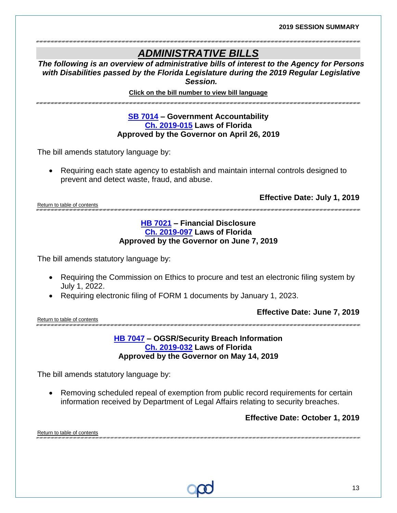## *ADMINISTRATIVE BILLS*

*The following is an overview of administrative bills of interest to the Agency for Persons with Disabilities passed by the Florida Legislature during the 2019 Regular Legislative Session.*

**Click on the bill number to view bill language** 

.<br>מוגרמות המוגרמות המוגרמות בשום מוגרמות המוגרמות המוגרמות המוגרמות בשום במוגרמות המוגרמות המוגרמות המוגרמות המו

#### **[SB 7014](http://flsenate.gov/Session/Bill/2019/7014/BillText/er/PDF) – Government Accountability [Ch. 2019-015](http://laws.flrules.org/2019/15) Laws of Florida Approved by the Governor on April 26, 2019**

The bill amends statutory language by:

• Requiring each state agency to establish and maintain internal controls designed to prevent and detect waste, fraud, and abuse.

**Effective Date: July 1, 2019**

<span id="page-12-0"></span>Return to table of contents

#### **[HB 7021](https://myfloridahouse.gov/Sections/Documents/loaddoc.aspx?FileName=_h7021er.docx&DocumentType=Bill&BillNumber=7021&Session=2019) – Financial Disclosure [Ch. 2019-097](http://laws.flrules.org/2019/97) Laws of Florida Approved by the Governor on June 7, 2019**

The bill amends statutory language by:

- Requiring the Commission on Ethics to procure and test an electronic filing system by July 1, 2022.
- Requiring electronic filing of FORM 1 documents by January 1, 2023.

<span id="page-12-1"></span>Return to table of contents

**Effective Date: June 7, 2019**

**[HB 7047](https://myfloridahouse.gov/Sections/Documents/loaddoc.aspx?FileName=_h7047er.docx&DocumentType=Bill&BillNumber=7047&Session=2019) – OGSR/Security Breach Information [Ch. 2019-032](http://laws.flrules.org/2019/32) Laws of Florida Approved by the Governor on May 14, 2019**

The bill amends statutory language by:

• Removing scheduled repeal of exemption from public record requirements for certain information received by Department of Legal Affairs relating to security breaches.

#### **Effective Date: October 1, 2019**

<span id="page-12-2"></span>Return to table of contents